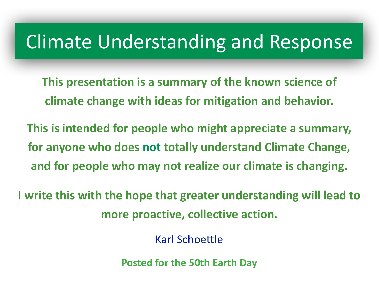# Climate Understanding and Response

- **This presentation is a summary of the known science of climate change with ideas for mitigation and behavior.**
- This is intended for people who might appreciate a summary, **for anyone who does not totally understand Climate Change,** and for people who may not realize our climate is changing.

**I** write this with the hope that greater understanding will lead to **more proactive, collective action.** 

Karl Schoettle 

**Posted for the 50th Earth Day**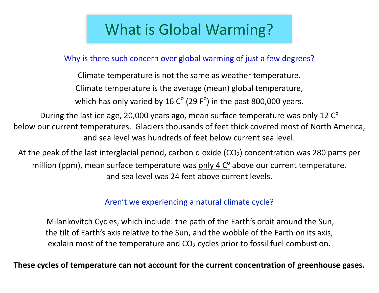## What is Global Warming?

Why is there such concern over global warming of just a few degrees?

Climate temperature is not the same as weather temperature. Climate temperature is the average (mean) global temperature, which has only varied by 16  $C^{\circ}$  (29 F<sup>o</sup>) in the past 800,000 years.

During the last ice age, 20,000 years ago, mean surface temperature was only 12  $C^{\circ}$ below our current temperatures. Glaciers thousands of feet thick covered most of North America, and sea level was hundreds of feet below current sea level.

At the peak of the last interglacial period, carbon dioxide  $(CO<sub>2</sub>)$  concentration was 280 parts per million (ppm), mean surface temperature was **only 4 C<sup>o</sup> above our current temperature**, and sea level was 24 feet above current levels.

Aren't we experiencing a natural climate cycle?

Milankovitch Cycles, which include: the path of the Earth's orbit around the Sun, the tilt of Earth's axis relative to the Sun, and the wobble of the Earth on its axis, explain most of the temperature and  $CO<sub>2</sub>$  cycles prior to fossil fuel combustion.

These cycles of temperature can not account for the current concentration of greenhouse gases.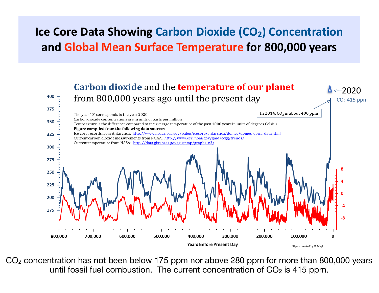#### **Ice Core Data Showing Carbon Dioxide (CO<sub>2</sub>) Concentration and Global Mean Surface Temperature for 800,000 years**



CO2 concentration has not been below 175 ppm nor above 280 ppm for more than 800,000 years until fossil fuel combustion. The current concentration of  $CO<sub>2</sub>$  is 415 ppm.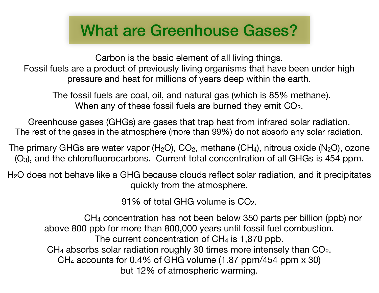## What are Greenhouse Gases?

Carbon is the basic element of all living things. Fossil fuels are a product of previously living organisms that have been under high pressure and heat for millions of years deep within the earth.

 The fossil fuels are coal, oil, and natural gas (which is 85% methane). When any of these fossil fuels are burned they emit CO<sub>2</sub>.

Greenhouse gases (GHGs) are gases that trap heat from infrared solar radiation. The rest of the gases in the atmosphere (more than 99%) do not absorb any solar radiation.

The primary GHGs are water vapor  $(H_2O)$ ,  $CO_2$ , methane  $(CH_4)$ , nitrous oxide  $(N_2O)$ , ozone (O3), and the chlorofluorocarbons. Current total concentration of all GHGs is 454 ppm.

 $H<sub>2</sub>O$  does not behave like a GHG because clouds reflect solar radiation, and it precipitates quickly from the atmosphere.

91% of total GHG volume is  $CO<sub>2</sub>$ .

 CH4 concentration has not been below 350 parts per billion (ppb) nor above 800 ppb for more than 800,000 years until fossil fuel combustion. The current concentration of  $CH<sub>4</sub>$  is 1,870 ppb.  $CH<sub>4</sub>$  absorbs solar radiation roughly 30 times more intensely than  $CO<sub>2</sub>$ . CH4 accounts for 0.4% of GHG volume (1.87 ppm/454 ppm x 30) but 12% of atmospheric warming.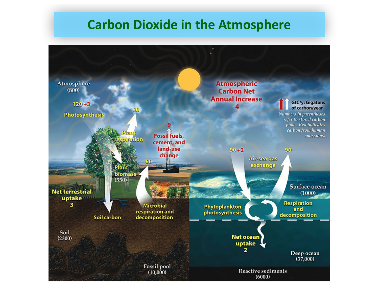#### **Carbon Dioxide in the Atmosphere**

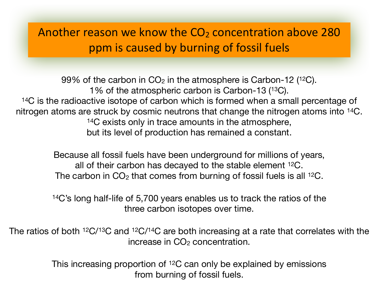#### Another reason we know the  $CO<sub>2</sub>$  concentration above 280 ppm is caused by burning of fossil fuels

99% of the carbon in  $CO<sub>2</sub>$  in the atmosphere is Carbon-12 (<sup>12</sup>C). 1% of the atmospheric carbon is Carbon-13 (13C). <sup>14</sup>C is the radioactive isotope of carbon which is formed when a small percentage of nitrogen atoms are struck by cosmic neutrons that change the nitrogen atoms into 14C. <sup>14</sup>C exists only in trace amounts in the atmosphere, but its level of production has remained a constant.

> Because all fossil fuels have been underground for millions of years, all of their carbon has decayed to the stable element 12C. The carbon in  $CO<sub>2</sub>$  that comes from burning of fossil fuels is all <sup>12</sup>C.

> 14C's long half-life of 5,700 years enables us to track the ratios of the three carbon isotopes over time.

The ratios of both 12C/13C and 12C/14C are both increasing at a rate that correlates with the increase in  $CO<sub>2</sub>$  concentration.

> This increasing proportion of 12C can only be explained by emissions from burning of fossil fuels.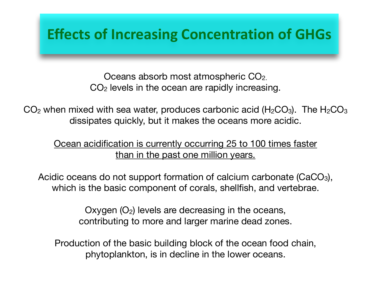#### **Effects of Increasing Concentration of GHGs**

Oceans absorb most atmospheric CO2. CO2 levels in the ocean are rapidly increasing.

 $CO<sub>2</sub>$  when mixed with sea water, produces carbonic acid (H<sub>2</sub>CO<sub>3</sub>). The H<sub>2</sub>CO<sub>3</sub> dissipates quickly, but it makes the oceans more acidic.

Ocean acidification is currently occurring 25 to 100 times faster than in the past one million years.

Acidic oceans do not support formation of calcium carbonate (CaCO<sub>3</sub>), which is the basic component of corals, shellfish, and vertebrae.

> Oxygen  $(O_2)$  levels are decreasing in the oceans, contributing to more and larger marine dead zones.

Production of the basic building block of the ocean food chain, phytoplankton, is in decline in the lower oceans.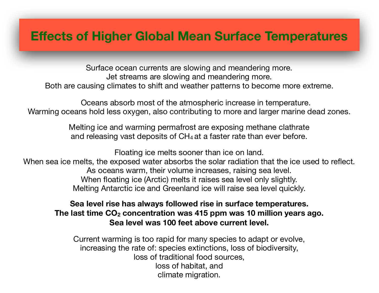#### **Effects of Higher Global Mean Surface Temperatures**

Surface ocean currents are slowing and meandering more. Jet streams are slowing and meandering more. Both are causing climates to shift and weather patterns to become more extreme.

 Oceans absorb most of the atmospheric increase in temperature. Warming oceans hold less oxygen, also contributing to more and larger marine dead zones.

> Melting ice and warming permafrost are exposing methane clathrate and releasing vast deposits of CH<sub>4</sub> at a faster rate than ever before.

Floating ice melts sooner than ice on land. When sea ice melts, the exposed water absorbs the solar radiation that the ice used to reflect. As oceans warm, their volume increases, raising sea level. When floating ice (Arctic) melts it raises sea level only slightly. Melting Antarctic ice and Greenland ice will raise sea level quickly.

#### **Sea level rise has always followed rise in surface temperatures.**  The last time CO<sub>2</sub> concentration was 415 ppm was 10 million years ago. **Sea level was 100 feet above current level.**

Current warming is too rapid for many species to adapt or evolve, increasing the rate of: species extinctions, loss of biodiversity, loss of traditional food sources, loss of habitat, and climate migration.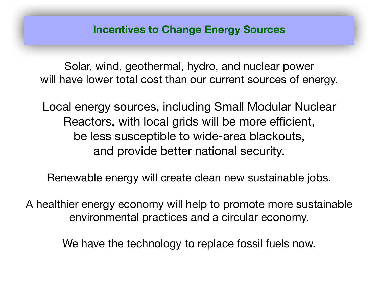Solar, wind, geothermal, hydro, and nuclear power will have lower total cost than our current sources of energy.

Local energy sources, including Small Modular Nuclear Reactors, with local grids will be more efficient, be less susceptible to wide-area blackouts, and provide better national security.

Renewable energy will create clean new sustainable jobs.

A healthier energy economy will help to promote more sustainable environmental practices and a circular economy.

We have the technology to replace fossil fuels now.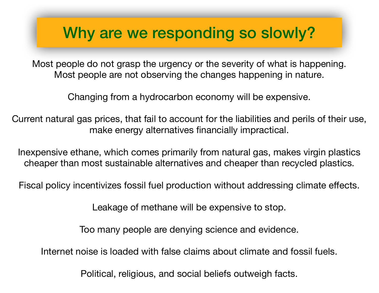## Why are we responding so slowly?

Most people do not grasp the urgency or the severity of what is happening. Most people are not observing the changes happening in nature.

Changing from a hydrocarbon economy will be expensive.

Current natural gas prices, that fail to account for the liabilities and perils of their use, make energy alternatives financially impractical.

Inexpensive ethane, which comes primarily from natural gas, makes virgin plastics cheaper than most sustainable alternatives and cheaper than recycled plastics.

Fiscal policy incentivizes fossil fuel production without addressing climate effects.

Leakage of methane will be expensive to stop.

Too many people are denying science and evidence.

Internet noise is loaded with false claims about climate and fossil fuels.

Political, religious, and social beliefs outweigh facts.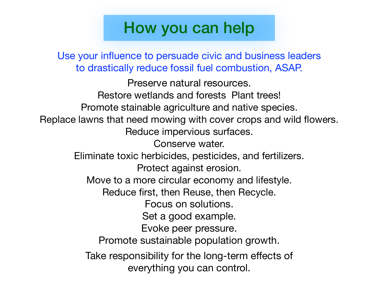## How you can help

Use your influence to persuade civic and business leaders to drastically reduce fossil fuel combustion, ASAP.

Preserve natural resources. Restore wetlands and forests Plant trees! Promote stainable agriculture and native species. Replace lawns that need mowing with cover crops and wild flowers. Reduce impervious surfaces. Conserve water. Eliminate toxic herbicides, pesticides, and fertilizers. Protect against erosion. Move to a more circular economy and lifestyle. Reduce first, then Reuse, then Recycle. Focus on solutions. Set a good example. Evoke peer pressure. Promote sustainable population growth. Take responsibility for the long-term effects of everything you can control.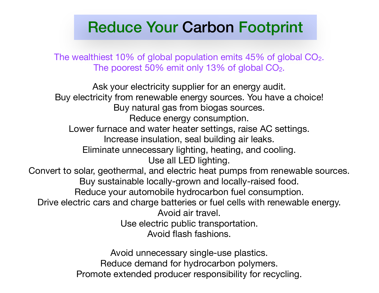### Reduce Your Carbon Footprint

The wealthiest 10% of global population emits 45% of global CO2. The poorest 50% emit only 13% of global CO<sub>2</sub>.

Ask your electricity supplier for an energy audit. Buy electricity from renewable energy sources. You have a choice! Buy natural gas from biogas sources. Reduce energy consumption. Lower furnace and water heater settings, raise AC settings. Increase insulation, seal building air leaks. Eliminate unnecessary lighting, heating, and cooling. Use all LED lighting. Convert to solar, geothermal, and electric heat pumps from renewable sources. Buy sustainable locally-grown and locally-raised food. Reduce your automobile hydrocarbon fuel consumption. Drive electric cars and charge batteries or fuel cells with renewable energy. Avoid air travel. Use electric public transportation. Avoid flash fashions. Avoid unnecessary single-use plastics.

Reduce demand for hydrocarbon polymers. Promote extended producer responsibility for recycling.